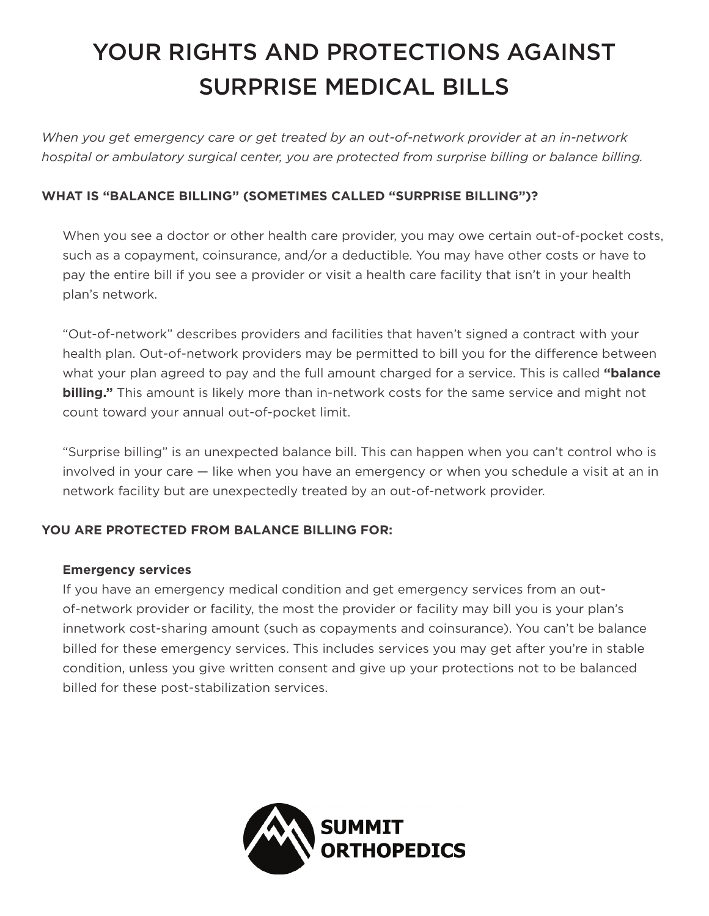# YOUR RIGHTS AND PROTECTIONS AGAINST SURPRISE MEDICAL BILLS

*When you get emergency care or get treated by an out-of-network provider at an in-network hospital or ambulatory surgical center, you are protected from surprise billing or balance billing.*

## **WHAT IS "BALANCE BILLING" (SOMETIMES CALLED "SURPRISE BILLING")?**

When you see a doctor or other health care provider, you may owe certain out-of-pocket costs, such as a copayment, coinsurance, and/or a deductible. You may have other costs or have to pay the entire bill if you see a provider or visit a health care facility that isn't in your health plan's network.

"Out-of-network" describes providers and facilities that haven't signed a contract with your health plan. Out-of-network providers may be permitted to bill you for the difference between what your plan agreed to pay and the full amount charged for a service. This is called **"balance billing."** This amount is likely more than in-network costs for the same service and might not count toward your annual out-of-pocket limit.

"Surprise billing" is an unexpected balance bill. This can happen when you can't control who is involved in your care — like when you have an emergency or when you schedule a visit at an in network facility but are unexpectedly treated by an out-of-network provider.

### **YOU ARE PROTECTED FROM BALANCE BILLING FOR:**

#### **Emergency services**

If you have an emergency medical condition and get emergency services from an outof-network provider or facility, the most the provider or facility may bill you is your plan's innetwork cost-sharing amount (such as copayments and coinsurance). You can't be balance billed for these emergency services. This includes services you may get after you're in stable condition, unless you give written consent and give up your protections not to be balanced billed for these post-stabilization services.